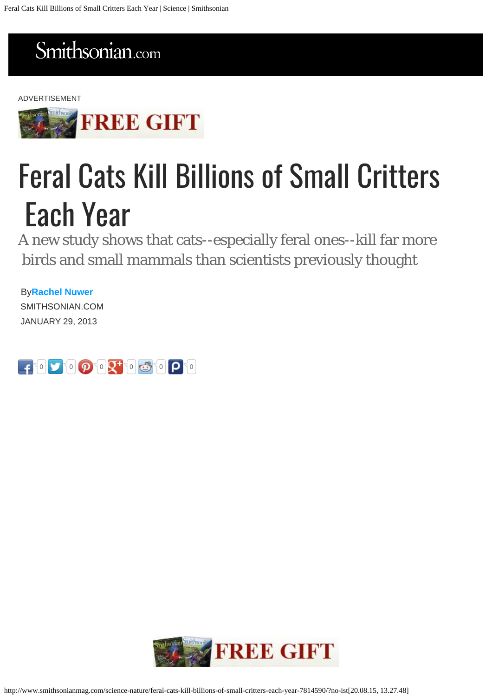## <span id="page-0-0"></span>Smithsonian.com

#### ADVERTISEMENT



# Feral Cats Kill Billions of Small Critters Each Year

A new study shows that cats--especially feral ones--kill far more birds and small mammals than scientists previously thought

By**[Rachel Nuwer](http://www.smithsonianmag.com/author/rachel-nuwer/)** SMITHSONIAN.COM JANUARY 29, 2013



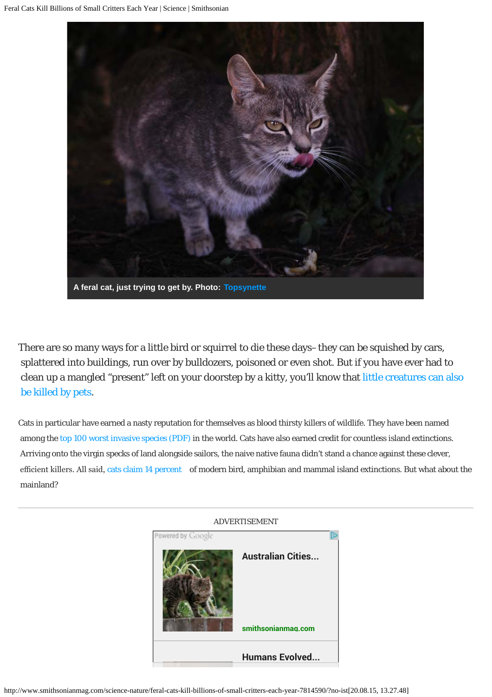

There are so many ways for a little bird or squirrel to die these days–they can be squished by cars, splattered into buildings, run over by bulldozers, poisoned or even shot. But if you have ever had to clean up a mangled "present" left on your doorstep by a kitty, you'll know that [little creatures can also](http://blogs.smithsonianmag.com/science/2011/03/a-birds-vs-cats-blog-showdown/)  [be killed by pets](http://blogs.smithsonianmag.com/science/2011/03/a-birds-vs-cats-blog-showdown/).

Cats in particular have earned a nasty reputation for themselves as blood thirsty killers of wildlife. They have been named among the [top 100 worst invasive species \(PDF\)](http://www.issg.org/database/species/reference_files/100English.pdf) in the world. Cats have also earned credit for countless island extinctions. Arriving onto the virgin specks of land alongside sailors, the naive native fauna didn't stand a chance against these clever, efficient killers. All said, [cats claim 14 percent](http://onlinelibrary.wiley.com/doi/10.1111/j.1365-2486.2011.02464.x/abstract) of modern bird, amphibian and mammal island extinctions. But what about the mainland?

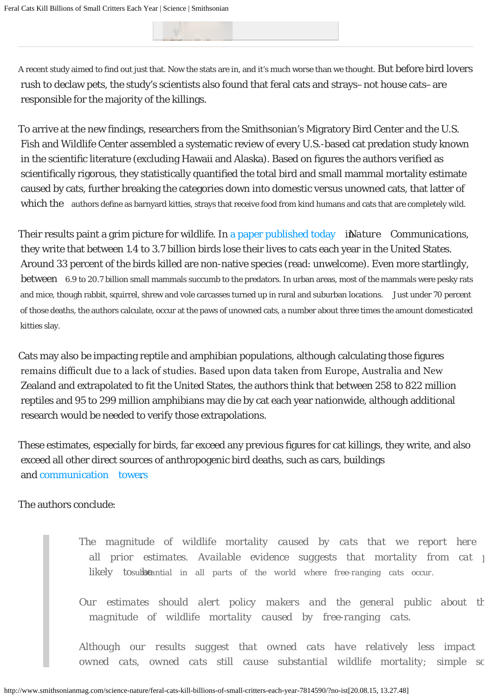A recent study aimed to find out just that. Now the stats are in, and it's much worse than we thought. But before bird lovers rush to declaw pets, the study's scientists also found that feral cats and strays–not house cats–are responsible for the majority of the killings.

To arrive at the new findings, researchers from the Smithsonian's Migratory Bird Center and the U.S. Fish and Wildlife Center assembled a systematic review of every U.S.-based cat predation study known in the scientific literature (excluding Hawaii and Alaska). Based on figures the authors verified as scientifically rigorous, they statistically quantified the total bird and small mammal mortality estimate caused by cats, further breaking the categories down into domestic versus unowned cats, that latter of which the authors define as barnyard kitties, strays that receive food from kind humans and cats that are completely wild.

Their results paint a grim picture for wildlife. In [a paper published today](http://dx.doi.org/10.1038/ncomms2380) in *Nature Communications*, they write that between 1.4 to 3.7 billion birds lose their lives to cats each year in the United States. Around 33 percent of the birds killed are non-native species (read: unwelcome). Even more startlingly, between 6.9 to 20.7 billion small mammals succumb to the predators. In urban areas, most of the mammals were pesky rats and mice, though rabbit, squirrel, shrew and vole carcasses turned up in rural and suburban locations. Just under 70 percent of those deaths, the authors calculate, occur at the paws of unowned cats, a number about three times the amount domesticated kitties slay.

Cats may also be impacting reptile and amphibian populations, although calculating those figures remains difficult due to a lack of studies. Based upon data taken from Europe, Australia and New Zealand and extrapolated to fit the United States, the authors think that between 258 to 822 million reptiles and 95 to 299 million amphibians may die by cat each year nationwide, although additional research would be needed to verify those extrapolations.

These estimates, especially for birds, far exceed any previous figures for cat killings, they write, and also exceed all other direct sources of anthropogenic bird deaths, such as cars, buildings and [communication tower](http://blogs.smithsonianmag.com/science/2013/01/communication-towers-are-death-traps-for-threatened-bird-species/)s[.](http://blogs.smithsonianmag.com/science/2013/01/communication-towers-are-death-traps-for-threatened-bird-species/)

The authors conclude:

*The magnitude of wildlife mortality caused by cats that we report here all prior estimates. Available evidence suggests that mortality from cat j likely tosubstantial in all parts of the world where free-ranging cats occur.* 

*Our estimates should alert policy makers and the general public about th magnitude of wildlife mortality caused by free-ranging cats.*

*Although our results suggest that owned cats have relatively less impact owned cats, owned cats still cause substantial wildlife mortality; simple solutions*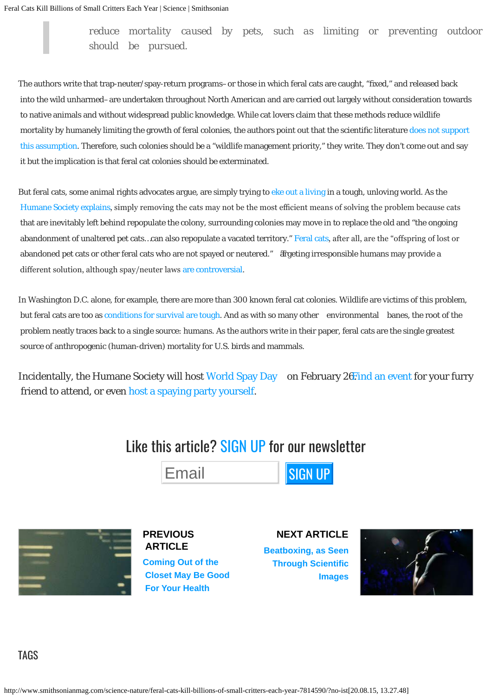*reduce mortality caused by pets, such as limiting or preventing outdoor access, should be pursued.*

The authors write that trap-neuter/spay-return programs–or those in which feral cats are caught, "fixed," and released back into the wild unharmed–are undertaken throughout North American and are carried out largely without consideration towards to native animals and without widespread public knowledge. While cat lovers claim that these methods reduce wildlife mortality by humanely limiting the growth of feral colonies, the authors point out that the scientific literature [does not support](http://www.ncbi.nlm.nih.gov/pubmed/19245489)  [this assumption](http://www.ncbi.nlm.nih.gov/pubmed/19245489). Therefore, such colonies should be a "wildlife management priority," they write. They don't come out and say it but the implication is that feral cat colonies should be exterminated.

But feral cats, some animal rights advocates argue, are simply trying to [eke out a living](http://www.humanesociety.org/issues/feral_cats/qa/feral_cat_FAQs.html#Would_it_be_better_if_feral_cats_were_eu) in a tough, unloving world. As the [Humane Society explains](http://www.humanesociety.org/issues/feral_cats/qa/feral_cat_FAQs.html#Why_doesnt_simply_removing_feral_cats_fr), simply removing the cats may not be the most efficient means of solving the problem because cats that are inevitably left behind repopulate the colony, surrounding colonies may move in to replace the old and "the ongoing abandonment of unaltered pet cats…can also repopulate a vacated territory." [Feral cats](http://www.humanesociety.org/issues/feral_cats/qa/feral_cat_FAQs.html#Why_are_there_feral_cats_Where_do_they_c), after all, are the "ofspring of lost or abandoned pet cats or other feral cats who are not spayed or neutered." The ageting irresponsible humans may provide a diferent solution, although spay/neuter laws [are controversial](http://www.nbcnews.com/id/24597888/ns/health-pet_health/t/pet-sterilization-laws-raise-health-concerns/#.UQgCqYWQ2Hk).

In Washington D.C. alone, for example, there are more than 300 known feral cat colonies. Wildlife are victims of this problem, but feral cats are too as [conditions for survival are tough.](http://blogs.smithsonianmag.com/science/2011/05/the-secret-lives-of-feral-cats/) And as with so many other environmental banes, the root of the problem neatly traces back to a single source: humans. As the authors write in their paper, feral cats are the single greatest source of anthropogenic (human-driven) mortality for U.S. birds and mammals.

Incidentally, the Humane Society will host [World Spay Day](https://spaydayportal.humanesociety.org/aboutworldspayday/whatisworldspayday/) on February 2[6. Find an event](https://spaydayportal.humanesociety.org/sd_findEvent_US.aspx) for your furry friend to attend, or even [host a spaying party yourself.](https://spaydayportal.humanesociety.org/sd_Organizers.aspx?location=US&type=new)

## Like this article? SIGN UP for our newsletter





**[PREVIOUS](http://www.smithsonianmag.com/science-nature/coming-out-of-the-closet-may-be-good-for-your-health-7400182/)  [ARTICLE](http://www.smithsonianmag.com/science-nature/coming-out-of-the-closet-may-be-good-for-your-health-7400182/)**

**[Coming Out of the](http://www.smithsonianmag.com/science-nature/coming-out-of-the-closet-may-be-good-for-your-health-7400182/)  [Closet May Be Good](http://www.smithsonianmag.com/science-nature/coming-out-of-the-closet-may-be-good-for-your-health-7400182/)  [For Your Health](http://www.smithsonianmag.com/science-nature/coming-out-of-the-closet-may-be-good-for-your-health-7400182/)**

**[NEXT ARTICLE](http://www.smithsonianmag.com/science-nature/beatboxing-as-seen-through-scientific-images-8558817/) [Beatboxing, as Seen](http://www.smithsonianmag.com/science-nature/beatboxing-as-seen-through-scientific-images-8558817/)  [Through Scientific](http://www.smithsonianmag.com/science-nature/beatboxing-as-seen-through-scientific-images-8558817/)  [Images](http://www.smithsonianmag.com/science-nature/beatboxing-as-seen-through-scientific-images-8558817/)**

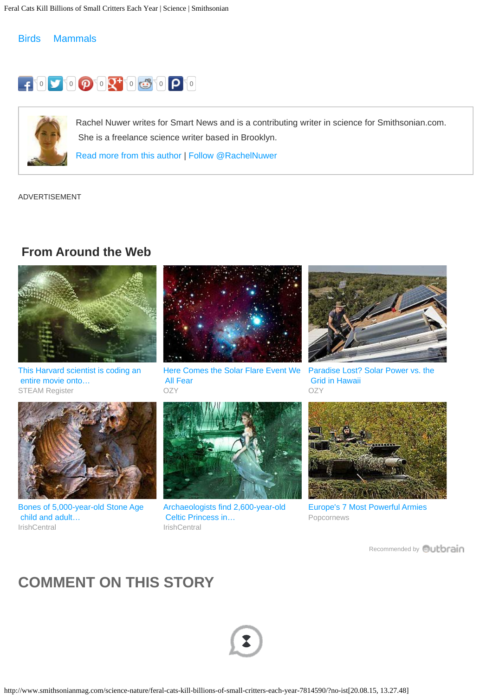#### [Birds](http://www.smithsonianmag.com/tag/birds/) [Mammals](http://www.smithsonianmag.com/tag/mammals/)





Rachel Nuwer writes for Smart News and is a contributing writer in science for Smithsonian.com. She is a freelance science writer based in Brooklyn.

[Read more from this author](http://www.smithsonianmag.com/author/rachel-nuwer/) | [Follow @RachelNuwer](https://twitter.com/RachelNuwer)

ADVERTISEMENT

### **From Around the Web**



[This Harvard scientist is coding an](http://steamregister.com/this-harvard-scientist-is-coding-an-entire-movie-onto-dna-rpb/)  [entire movie onto…](http://steamregister.com/this-harvard-scientist-is-coding-an-entire-movie-onto-dna-rpb/) [STEAM Register](http://steamregister.com/this-harvard-scientist-is-coding-an-entire-movie-onto-dna-rpb/)



[Here Comes the Solar Flare Event We](http://www.ozy.com/flashback/stars-behaving-badly/6341?utm_source=Outbrain&utm_medium=CPC&utm_campaign=INTL%20-%20All%20Clicks%20ALL%20Devices)  [All Fear](http://www.ozy.com/flashback/stars-behaving-badly/6341?utm_source=Outbrain&utm_medium=CPC&utm_campaign=INTL%20-%20All%20Clicks%20ALL%20Devices) **[OZY](http://www.ozy.com/flashback/stars-behaving-badly/6341?utm_source=Outbrain&utm_medium=CPC&utm_campaign=INTL%20-%20All%20Clicks%20ALL%20Devices)** 



[Paradise Lost? Solar Power vs. the](http://www.ozy.com/fast-forward/the-great-electric-grid-war/39826?utm_source=Outbrain&utm_medium=CPC&utm_campaign=INTL%20-%20All%20Clicks%20ALL%20Devices)  [Grid in Hawaii](http://www.ozy.com/fast-forward/the-great-electric-grid-war/39826?utm_source=Outbrain&utm_medium=CPC&utm_campaign=INTL%20-%20All%20Clicks%20ALL%20Devices) **[OZY](http://www.ozy.com/fast-forward/the-great-electric-grid-war/39826?utm_source=Outbrain&utm_medium=CPC&utm_campaign=INTL%20-%20All%20Clicks%20ALL%20Devices)** 



[Bones of 5,000-year-old Stone Age](http://www.irishcentral.com/roots/history/Bones-of-5000-year-old-Stone-Age-child-and-adult-found-in-Irish-cave.html)  [child and adult…](http://www.irishcentral.com/roots/history/Bones-of-5000-year-old-Stone-Age-child-and-adult-found-in-Irish-cave.html) **[IrishCentral](http://www.irishcentral.com/roots/history/Bones-of-5000-year-old-Stone-Age-child-and-adult-found-in-Irish-cave.html)** 



[Archaeologists find 2,600-year-old](http://www.irishcentral.com/news/archaeologists-find-2600-year-old-celtic-princess-buried-in-germany-121434514-237385991.html)  [Celtic Princess in…](http://www.irishcentral.com/news/archaeologists-find-2600-year-old-celtic-princess-buried-in-germany-121434514-237385991.html) [IrishCentral](http://www.irishcentral.com/news/archaeologists-find-2600-year-old-celtic-princess-buried-in-germany-121434514-237385991.html)



[Europe's 7 Most Powerful Armies](http://popcornews.com/the-7-strongest-armies-in-all-of-europe/?utm_source=Outbrain&utm_medium=CPC&utm_campaign=OOB_7StrongestArmiesEurope_Balkan) [Popcornews](http://popcornews.com/the-7-strongest-armies-in-all-of-europe/?utm_source=Outbrain&utm_medium=CPC&utm_campaign=OOB_7StrongestArmiesEurope_Balkan)

[Recommended by](#page-0-0) **Quitbrain** 

## **COMMENT ON THIS STORY**